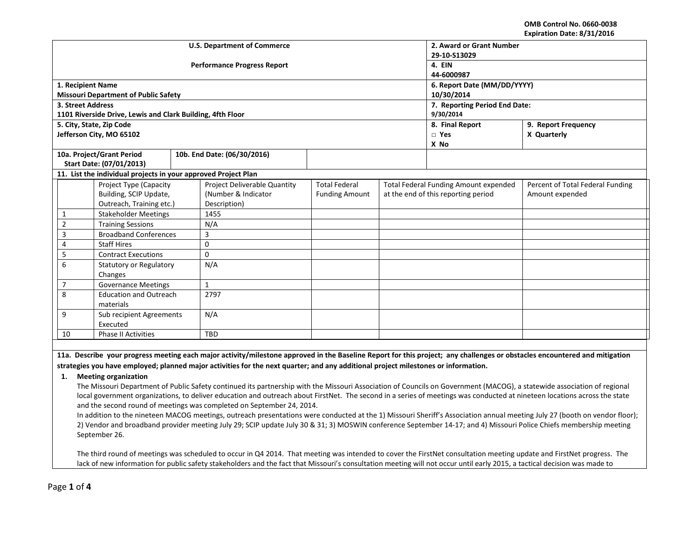**OMB Control No. 0660-0038 Expiration Date: 8/31/2016**

|                           |                                     |                                                                |       | <b>U.S. Department of Commerce</b> | 2. Award or Grant Number      |                                       |      |                                  |  |  |  |
|---------------------------|-------------------------------------|----------------------------------------------------------------|-------|------------------------------------|-------------------------------|---------------------------------------|------|----------------------------------|--|--|--|
|                           |                                     |                                                                |       |                                    | 29-10-S13029                  |                                       |      |                                  |  |  |  |
|                           |                                     |                                                                |       | <b>Performance Progress Report</b> | 4. EIN                        |                                       |      |                                  |  |  |  |
|                           |                                     |                                                                |       |                                    | 44-6000987                    |                                       |      |                                  |  |  |  |
|                           | 1. Recipient Name                   |                                                                |       |                                    | 6. Report Date (MM/DD/YYYY)   |                                       |      |                                  |  |  |  |
|                           |                                     | <b>Missouri Department of Public Safety</b>                    |       |                                    | 10/30/2014                    |                                       |      |                                  |  |  |  |
|                           | 3. Street Address                   |                                                                |       |                                    | 7. Reporting Period End Date: |                                       |      |                                  |  |  |  |
|                           |                                     | 1101 Riverside Drive, Lewis and Clark Building, 4fth Floor     |       |                                    | 9/30/2014                     |                                       |      |                                  |  |  |  |
|                           |                                     | 5. City, State, Zip Code                                       |       |                                    | 8. Final Report               | 9. Report Frequency                   |      |                                  |  |  |  |
|                           |                                     | Jefferson City, MO 65102                                       |       |                                    | $\Box$ Yes                    | X Quarterly                           |      |                                  |  |  |  |
|                           |                                     |                                                                |       |                                    |                               |                                       | X No |                                  |  |  |  |
|                           |                                     | 10a. Project/Grant Period                                      |       | 10b. End Date: (06/30/2016)        |                               |                                       |      |                                  |  |  |  |
|                           |                                     | Start Date: (07/01/2013)                                       |       |                                    |                               |                                       |      |                                  |  |  |  |
|                           |                                     | 11. List the individual projects in your approved Project Plan |       |                                    |                               |                                       |      |                                  |  |  |  |
|                           |                                     | Project Type (Capacity                                         |       | Project Deliverable Quantity       | <b>Total Federal</b>          | Total Federal Funding Amount expended |      | Percent of Total Federal Funding |  |  |  |
|                           |                                     | Building, SCIP Update,                                         |       | (Number & Indicator                | <b>Funding Amount</b>         | at the end of this reporting period   |      | Amount expended                  |  |  |  |
|                           |                                     | Outreach, Training etc.)                                       |       | Description)                       |                               |                                       |      |                                  |  |  |  |
|                           | 1                                   | <b>Stakeholder Meetings</b>                                    |       | 1455                               |                               |                                       |      |                                  |  |  |  |
|                           | $\overline{2}$                      | <b>Training Sessions</b>                                       |       | N/A                                |                               |                                       |      |                                  |  |  |  |
|                           | 3                                   | <b>Broadband Conferences</b>                                   |       | 3                                  |                               |                                       |      |                                  |  |  |  |
|                           | 4                                   | <b>Staff Hires</b>                                             |       | $\mathbf 0$                        |                               |                                       |      |                                  |  |  |  |
|                           | 5<br><b>Contract Executions</b>     |                                                                |       | $\Omega$                           |                               |                                       |      |                                  |  |  |  |
|                           | 6<br><b>Statutory or Regulatory</b> |                                                                | N/A   |                                    |                               |                                       |      |                                  |  |  |  |
|                           |                                     | Changes                                                        |       |                                    |                               |                                       |      |                                  |  |  |  |
|                           | 7<br><b>Governance Meetings</b>     |                                                                | $1\,$ |                                    |                               |                                       |      |                                  |  |  |  |
| 8                         |                                     | <b>Education and Outreach</b>                                  |       | 2797                               |                               |                                       |      |                                  |  |  |  |
|                           |                                     | materials                                                      |       |                                    |                               |                                       |      |                                  |  |  |  |
|                           | 9                                   | Sub recipient Agreements                                       |       | N/A                                |                               |                                       |      |                                  |  |  |  |
|                           |                                     | Executed                                                       |       |                                    |                               |                                       |      |                                  |  |  |  |
| 10<br>Phase II Activities |                                     |                                                                |       | <b>TBD</b>                         |                               |                                       |      |                                  |  |  |  |
|                           |                                     |                                                                |       |                                    |                               |                                       |      |                                  |  |  |  |

**11a. Describe your progress meeting each major activity/milestone approved in the Baseline Report for this project; any challenges or obstacles encountered and mitigation strategies you have employed; planned major activities for the next quarter; and any additional project milestones or information.**

## **1. Meeting organization**

The Missouri Department of Public Safety continued its partnership with the Missouri Association of Councils on Government (MACOG), a statewide association of regional local government organizations, to deliver education and outreach about FirstNet. The second in a series of meetings was conducted at nineteen locations across the state and the second round of meetings was completed on September 24, 2014.

In addition to the nineteen MACOG meetings, outreach presentations were conducted at the 1) Missouri Sheriff's Association annual meeting July 27 (booth on vendor floor); 2) Vendor and broadband provider meeting July 29; SCIP update July 30 & 31; 3) MOSWIN conference September 14-17; and 4) Missouri Police Chiefs membership meeting September 26.

The third round of meetings was scheduled to occur in Q4 2014. That meeting was intended to cover the FirstNet consultation meeting update and FirstNet progress. The lack of new information for public safety stakeholders and the fact that Missouri's consultation meeting will not occur until early 2015, a tactical decision was made to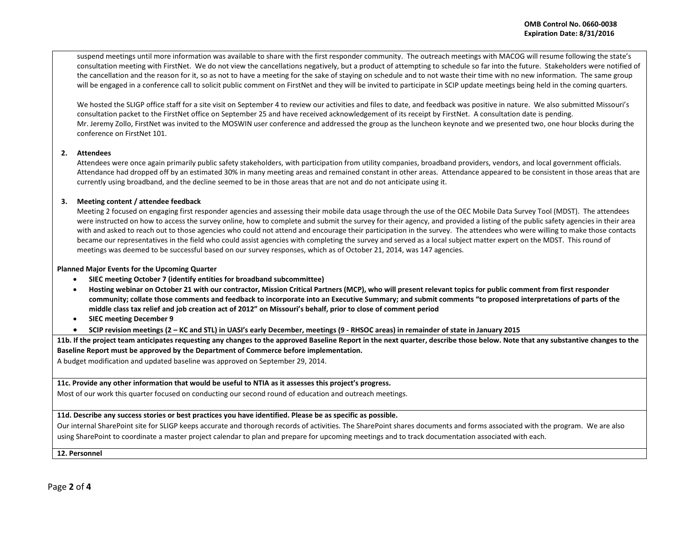suspend meetings until more information was available to share with the first responder community. The outreach meetings with MACOG will resume following the state's consultation meeting with FirstNet. We do not view the cancellations negatively, but a product of attempting to schedule so far into the future. Stakeholders were notified of the cancellation and the reason for it, so as not to have a meeting for the sake of staying on schedule and to not waste their time with no new information. The same group will be engaged in a conference call to solicit public comment on FirstNet and they will be invited to participate in SCIP update meetings being held in the coming quarters.

We hosted the SLIGP office staff for a site visit on September 4 to review our activities and files to date, and feedback was positive in nature. We also submitted Missouri's consultation packet to the FirstNet office on September 25 and have received acknowledgement of its receipt by FirstNet. A consultation date is pending. Mr. Jeremy Zollo, FirstNet was invited to the MOSWIN user conference and addressed the group as the luncheon keynote and we presented two, one hour blocks during the conference on FirstNet 101.

### **2. Attendees**

Attendees were once again primarily public safety stakeholders, with participation from utility companies, broadband providers, vendors, and local government officials. Attendance had dropped off by an estimated 30% in many meeting areas and remained constant in other areas. Attendance appeared to be consistent in those areas that are currently using broadband, and the decline seemed to be in those areas that are not and do not anticipate using it.

## **3. Meeting content / attendee feedback**

Meeting 2 focused on engaging first responder agencies and assessing their mobile data usage through the use of the OEC Mobile Data Survey Tool (MDST). The attendees were instructed on how to access the survey online, how to complete and submit the survey for their agency, and provided a listing of the public safety agencies in their area with and asked to reach out to those agencies who could not attend and encourage their participation in the survey. The attendees who were willing to make those contacts became our representatives in the field who could assist agencies with completing the survey and served as a local subject matter expert on the MDST. This round of meetings was deemed to be successful based on our survey responses, which as of October 21, 2014, was 147 agencies.

### **Planned Major Events for the Upcoming Quarter**

- **SIEC meeting October 7 (identify entities for broadband subcommittee)**
- **Hosting webinar on October 21 with our contractor, Mission Critical Partners (MCP), who will present relevant topics for public comment from first responder community; collate those comments and feedback to incorporate into an Executive Summary; and submit comments "to proposed interpretations of parts of the middle class tax relief and job creation act of 2012" on Missouri's behalf, prior to close of comment period**
- **SIEC meeting December 9**
- **SCIP revision meetings (2 – KC and STL) in UASI's early December, meetings (9 - RHSOC areas) in remainder of state in January 2015**

**11b. If the project team anticipates requesting any changes to the approved Baseline Report in the next quarter, describe those below. Note that any substantive changes to the Baseline Report must be approved by the Department of Commerce before implementation.** 

A budget modification and updated baseline was approved on September 29, 2014.

## **11c. Provide any other information that would be useful to NTIA as it assesses this project's progress.**

Most of our work this quarter focused on conducting our second round of education and outreach meetings.

## **11d. Describe any success stories or best practices you have identified. Please be as specific as possible.**

Our internal SharePoint site for SLIGP keeps accurate and thorough records of activities. The SharePoint shares documents and forms associated with the program. We are also using SharePoint to coordinate a master project calendar to plan and prepare for upcoming meetings and to track documentation associated with each.

**12. Personnel**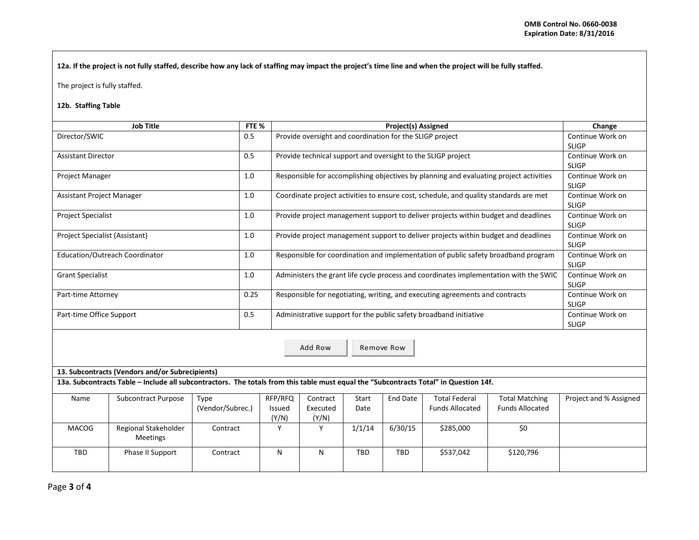**12a. If the project is not fully staffed, describe how any lack of staffing may impact the project's time line and when the project will be fully staffed.**

The project is fully staffed.

# **12b. Staffing Table**

|                                  | <b>Job Title</b>                                                                                                                      | FTE <sub>%</sub>         |                            | <b>Project(s) Assigned</b>                                                             |                                  |                 |                                                |                                                 | Change                           |  |  |
|----------------------------------|---------------------------------------------------------------------------------------------------------------------------------------|--------------------------|----------------------------|----------------------------------------------------------------------------------------|----------------------------------|-----------------|------------------------------------------------|-------------------------------------------------|----------------------------------|--|--|
| Director/SWIC                    |                                                                                                                                       | 0.5                      |                            | Provide oversight and coordination for the SLIGP project                               |                                  |                 |                                                |                                                 | Continue Work on<br><b>SLIGP</b> |  |  |
| <b>Assistant Director</b>        |                                                                                                                                       | 0.5                      |                            | Provide technical support and oversight to the SLIGP project                           | Continue Work on<br><b>SLIGP</b> |                 |                                                |                                                 |                                  |  |  |
| Project Manager                  |                                                                                                                                       | 1.0                      |                            | Responsible for accomplishing objectives by planning and evaluating project activities | Continue Work on<br><b>SLIGP</b> |                 |                                                |                                                 |                                  |  |  |
| <b>Assistant Project Manager</b> |                                                                                                                                       | 1.0                      |                            | Coordinate project activities to ensure cost, schedule, and quality standards are met  | Continue Work on<br><b>SLIGP</b> |                 |                                                |                                                 |                                  |  |  |
| <b>Project Specialist</b>        |                                                                                                                                       | 1.0                      |                            | Provide project management support to deliver projects within budget and deadlines     | Continue Work on<br><b>SLIGP</b> |                 |                                                |                                                 |                                  |  |  |
| Project Specialist (Assistant)   |                                                                                                                                       | 1.0                      |                            | Provide project management support to deliver projects within budget and deadlines     | Continue Work on<br><b>SLIGP</b> |                 |                                                |                                                 |                                  |  |  |
|                                  | Education/Outreach Coordinator                                                                                                        | 1.0                      |                            | Responsible for coordination and implementation of public safety broadband program     | Continue Work on<br><b>SLIGP</b> |                 |                                                |                                                 |                                  |  |  |
| <b>Grant Specialist</b>          |                                                                                                                                       | 1.0                      |                            | Administers the grant life cycle process and coordinates implementation with the SWIC  | Continue Work on<br><b>SLIGP</b> |                 |                                                |                                                 |                                  |  |  |
| Part-time Attorney               |                                                                                                                                       | 0.25                     |                            | Responsible for negotiating, writing, and executing agreements and contracts           | Continue Work on<br><b>SLIGP</b> |                 |                                                |                                                 |                                  |  |  |
| Part-time Office Support         |                                                                                                                                       | 0.5                      |                            | Administrative support for the public safety broadband initiative                      | Continue Work on<br><b>SLIGP</b> |                 |                                                |                                                 |                                  |  |  |
| Add Row<br>Remove Row            |                                                                                                                                       |                          |                            |                                                                                        |                                  |                 |                                                |                                                 |                                  |  |  |
|                                  | 13. Subcontracts (Vendors and/or Subrecipients)                                                                                       |                          |                            |                                                                                        |                                  |                 |                                                |                                                 |                                  |  |  |
|                                  | 13a. Subcontracts Table - Include all subcontractors. The totals from this table must equal the "Subcontracts Total" in Question 14f. |                          |                            |                                                                                        |                                  |                 |                                                |                                                 |                                  |  |  |
| Name                             | Subcontract Purpose                                                                                                                   | Type<br>(Vendor/Subrec.) | RFP/RFQ<br>Issued<br>(Y/N) | Contract<br>Executed<br>(Y/N)                                                          | Start<br>Date                    | <b>End Date</b> | <b>Total Federal</b><br><b>Funds Allocated</b> | <b>Total Matching</b><br><b>Funds Allocated</b> | Project and % Assigned           |  |  |
| <b>MACOG</b>                     | Regional Stakeholder<br><b>Meetings</b>                                                                                               | Contract                 | Y                          | Y                                                                                      | 1/1/14                           | 6/30/15         | \$285,000                                      | \$0                                             |                                  |  |  |
| <b>TBD</b>                       | Phase II Support                                                                                                                      | Contract                 | N                          | N                                                                                      | TBD                              | <b>TBD</b>      | \$537,042                                      | \$120,796                                       |                                  |  |  |

Page **3** of **4**